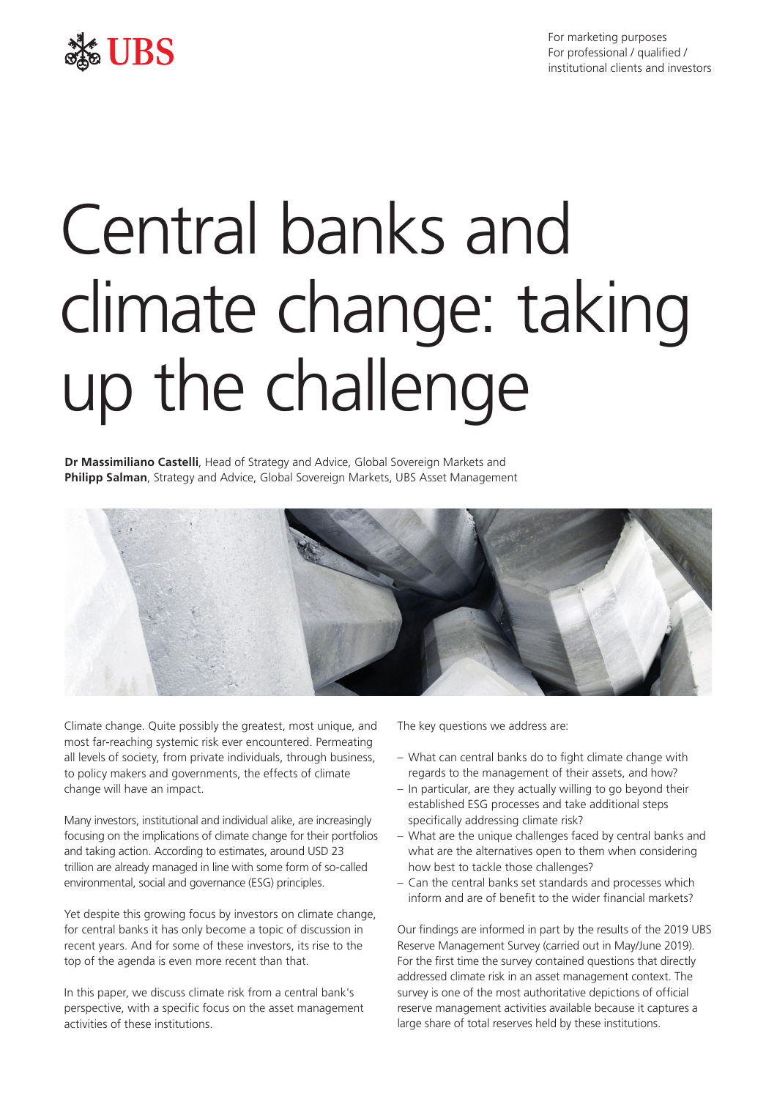

# See UBS

# Central banks and climate change: taking up the challenge

**Dr Massimiliano Castelli**, Head of Strategy and Advice, Global Sovereign Markets and **Philipp Salman**, Strategy and Advice, Global Sovereign Markets, UBS Asset Management



Climate change. Quite possibly the greatest, most unique, and most far-reaching systemic risk ever encountered. Permeating all levels of society, from private individuals, through business, to policy makers and governments, the effects of climate change will have an impact.

Many investors, institutional and individual alike, are increasingly focusing on the implications of climate change for their portfolios and taking action. According to estimates, around USD 23 trillion are already managed in line with some form of so-called environmental, social and governance (ESG) principles.

Yet despite this growing focus by investors on climate change, for central banks it has only become a topic of discussion in recent years. And for some of these investors, its rise to the top of the agenda is even more recent than that.

In this paper, we discuss climate risk from a central bank's perspective, with a specific focus on the asset management activities of these institutions.

The key questions we address are:

- What can central banks do to fight climate change with regards to the management of their assets, and how?
- In particular, are they actually willing to go beyond their established ESG processes and take additional steps specifically addressing climate risk?
- What are the unique challenges faced by central banks and what are the alternatives open to them when considering how best to tackle those challenges?
- Can the central banks set standards and processes which inform and are of benefit to the wider financial markets?

Our findings are informed in part by the results of the 2019 UBS Reserve Management Survey (carried out in May/June 2019). For the first time the survey contained questions that directly addressed climate risk in an asset management context. The survey is one of the most authoritative depictions of official reserve management activities available because it captures a large share of total reserves held by these institutions.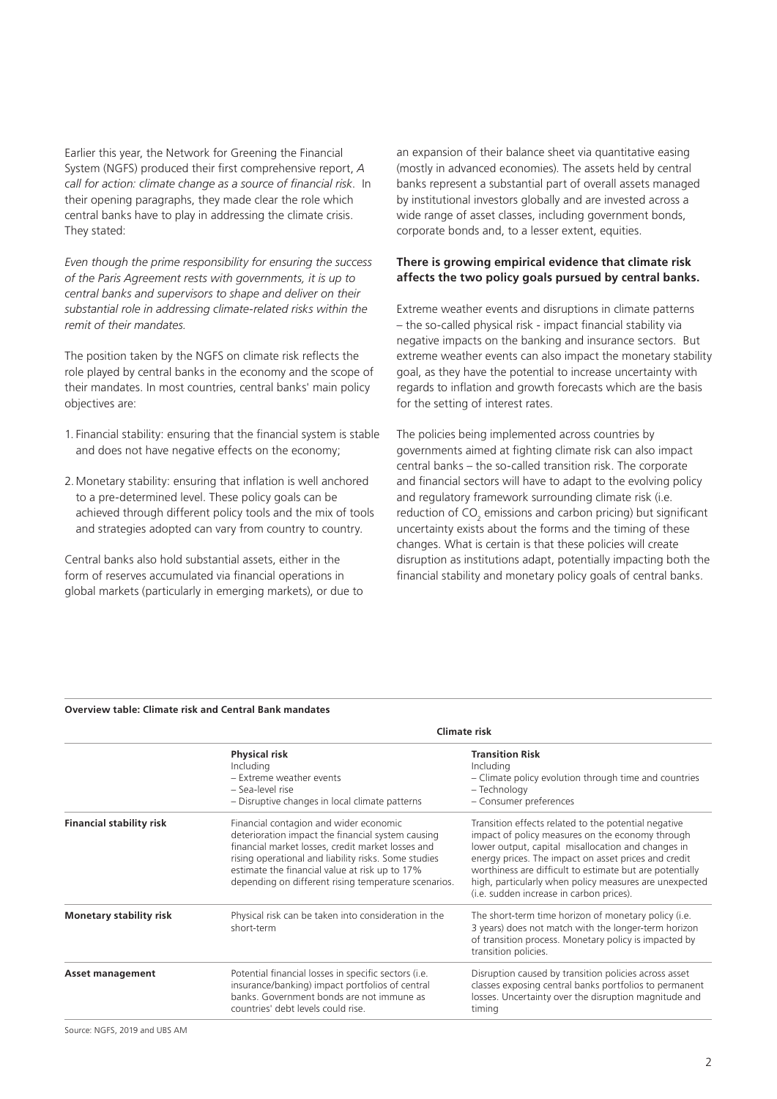Earlier this year, the Network for Greening the Financial System (NGFS) produced their first comprehensive report, *A call for action: climate change as a source of financial risk*. In their opening paragraphs, they made clear the role which central banks have to play in addressing the climate crisis. They stated:

*Even though the prime responsibility for ensuring the success of the Paris Agreement rests with governments, it is up to central banks and supervisors to shape and deliver on their substantial role in addressing climate-related risks within the remit of their mandates.*

The position taken by the NGFS on climate risk reflects the role played by central banks in the economy and the scope of their mandates. In most countries, central banks' main policy objectives are:

- 1. Financial stability: ensuring that the financial system is stable and does not have negative effects on the economy;
- 2.Monetary stability: ensuring that inflation is well anchored to a pre-determined level. These policy goals can be achieved through different policy tools and the mix of tools and strategies adopted can vary from country to country.

Central banks also hold substantial assets, either in the form of reserves accumulated via financial operations in global markets (particularly in emerging markets), or due to an expansion of their balance sheet via quantitative easing (mostly in advanced economies). The assets held by central banks represent a substantial part of overall assets managed by institutional investors globally and are invested across a wide range of asset classes, including government bonds, corporate bonds and, to a lesser extent, equities.

#### **There is growing empirical evidence that climate risk affects the two policy goals pursued by central banks.**

Extreme weather events and disruptions in climate patterns – the so-called physical risk - impact financial stability via negative impacts on the banking and insurance sectors. But extreme weather events can also impact the monetary stability goal, as they have the potential to increase uncertainty with regards to inflation and growth forecasts which are the basis for the setting of interest rates.

The policies being implemented across countries by governments aimed at fighting climate risk can also impact central banks – the so-called transition risk. The corporate and financial sectors will have to adapt to the evolving policy and regulatory framework surrounding climate risk (i.e. reduction of  $CO_2$  emissions and carbon pricing) but significant uncertainty exists about the forms and the timing of these changes. What is certain is that these policies will create disruption as institutions adapt, potentially impacting both the financial stability and monetary policy goals of central banks.

#### **Overview table: Climate risk and Central Bank mandates**

|                                 |                                                                                                                                                                                                                                                                                                                    | Climate risk                                                                                                                                                                                                                                                                                                                                                                             |
|---------------------------------|--------------------------------------------------------------------------------------------------------------------------------------------------------------------------------------------------------------------------------------------------------------------------------------------------------------------|------------------------------------------------------------------------------------------------------------------------------------------------------------------------------------------------------------------------------------------------------------------------------------------------------------------------------------------------------------------------------------------|
|                                 | <b>Physical risk</b><br>Including<br>- Extreme weather events<br>- Sea-level rise<br>- Disruptive changes in local climate patterns                                                                                                                                                                                | <b>Transition Risk</b><br>Including<br>- Climate policy evolution through time and countries<br>- Technology<br>- Consumer preferences                                                                                                                                                                                                                                                   |
| <b>Financial stability risk</b> | Financial contagion and wider economic<br>deterioration impact the financial system causing<br>financial market losses, credit market losses and<br>rising operational and liability risks. Some studies<br>estimate the financial value at risk up to 17%<br>depending on different rising temperature scenarios. | Transition effects related to the potential negative<br>impact of policy measures on the economy through<br>lower output, capital misallocation and changes in<br>energy prices. The impact on asset prices and credit<br>worthiness are difficult to estimate but are potentially<br>high, particularly when policy measures are unexpected<br>(i.e. sudden increase in carbon prices). |
| <b>Monetary stability risk</b>  | Physical risk can be taken into consideration in the<br>short-term                                                                                                                                                                                                                                                 | The short-term time horizon of monetary policy (i.e.<br>3 years) does not match with the longer-term horizon<br>of transition process. Monetary policy is impacted by<br>transition policies.                                                                                                                                                                                            |
| <b>Asset management</b>         | Potential financial losses in specific sectors (i.e.<br>insurance/banking) impact portfolios of central<br>banks. Government bonds are not immune as<br>countries' debt levels could rise.                                                                                                                         | Disruption caused by transition policies across asset<br>classes exposing central banks portfolios to permanent<br>losses. Uncertainty over the disruption magnitude and<br>timing                                                                                                                                                                                                       |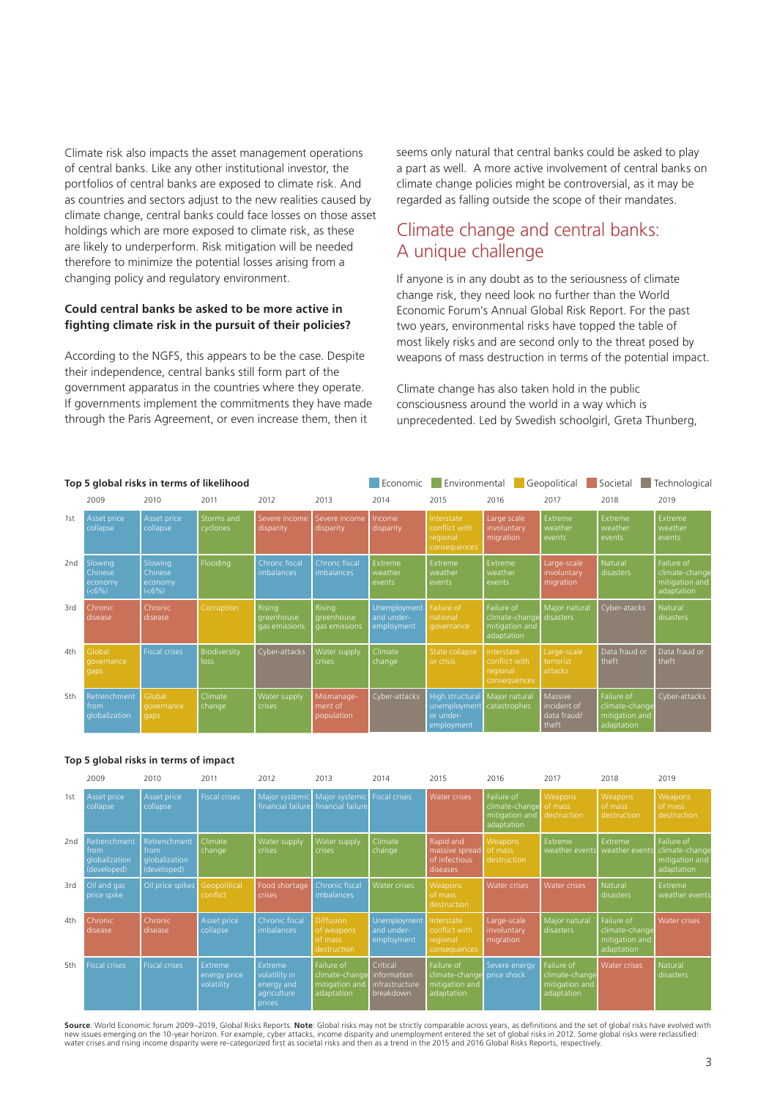Climate risk also impacts the asset management operations of central banks. Like any other institutional investor, the portfolios of central banks are exposed to climate risk. And as countries and sectors adjust to the new realities caused by climate change, central banks could face losses on those asset holdings which are more exposed to climate risk, as these are likely to underperform. Risk mitigation will be needed therefore to minimize the potential losses arising from a changing policy and regulatory environment.

#### **Could central banks be asked to be more active in fighting climate risk in the pursuit of their policies?**

According to the NGFS, this appears to be the case. Despite their independence, central banks still form part of the government apparatus in the countries where they operate. If governments implement the commitments they have made through the Paris Agreement, or even increase them, then it

seems only natural that central banks could be asked to play a part as well. A more active involvement of central banks on climate change policies might be controversial, as it may be regarded as falling outside the scope of their mandates.

## Climate change and central banks: A unique challenge

If anyone is in any doubt as to the seriousness of climate change risk, they need look no further than the World Economic Forum's Annual Global Risk Report. For the past two years, environmental risks have topped the table of most likely risks and are second only to the threat posed by weapons of mass destruction in terms of the potential impact.

Climate change has also taken hold in the public consciousness around the world in a way which is unprecedented. Led by Swedish schoolgirl, Greta Thunberg,

|                 | Top 5 global risks in terms of likelihood |                                        |                        |                                       |                                       | Economic                                 | Environmental                                                     |                                                              | Geopolitical                                   | Societal                                                     | Technological                                                |
|-----------------|-------------------------------------------|----------------------------------------|------------------------|---------------------------------------|---------------------------------------|------------------------------------------|-------------------------------------------------------------------|--------------------------------------------------------------|------------------------------------------------|--------------------------------------------------------------|--------------------------------------------------------------|
|                 | 2009                                      | 2010                                   | 2011                   | 2012                                  | 2013                                  | 2014                                     | 2015                                                              | 2016                                                         | 2017                                           | 2018                                                         | 2019                                                         |
| 1st             | Asset price<br>collapse                   | Asset price<br>collapse                | Storms and<br>cyclones | Severe income<br>disparity            | Severe income<br>disparity            | Income<br>disparity                      | Interstate<br>conflict with<br>regional<br>consequences           | Large scale<br>involuntary<br>migration                      | Extreme<br>weather<br>events                   | Extreme<br>weather<br>events                                 | Extreme<br>weather<br>events                                 |
| 2 <sub>nd</sub> | Slowing<br>Chinese<br>economy<br>(<6%)    | Slowing<br>Chinese<br>economy<br>(<6%) | Flooding               | Chronc fiscal<br>imbalances           | Chronc fiscal<br>imbalances           | Extreme<br>weather<br>events             | Extreme<br>weather<br>events                                      | Extreme<br>weather<br>events                                 | Large-scale<br>involuntary<br>migration        | Natural<br>disasters                                         | Failure of<br>climate-change<br>mitigation and<br>adaptation |
| 3rd             | Chronic<br>disease                        | Chronic<br>disease                     | Corruption             | Risina<br>greenhouse<br>gas emissions | Rising<br>greenhouse<br>gas emissions | Unemployment<br>and under-<br>employment | Failure of<br>national<br>governance                              | Failure of<br>climate-change<br>mitigation and<br>adaptation | Major natural<br>disasters                     | Cyber-atacks                                                 | Natural<br>disasters                                         |
| 4th             | Global<br>governance<br>gaps              | <b>Fiscal crises</b>                   | Biodiversity<br>loss   | Cyber-attacks                         | <b>Nater supply</b><br>crises         | Climate<br>change                        | State collapse<br>or crisis                                       | Interstate<br>conflict with<br>regional<br>consequences      | Large-scale<br>terrorist<br>attacks            | Data fraud or<br>theft                                       | Data fraud or<br>theft                                       |
| 5th             | Retrenchment<br>from<br>qlobalization     | Global<br>governance<br>gaps           | Climate<br>change      | Water supply<br>crises                | Mismanage-<br>ment of<br>population   | Cyber-attacks                            | <b>High structural</b><br>unemployment<br>or under-<br>employment | Major natural<br>catastrophes                                | Massive<br>incident of<br>data fraud/<br>theft | Failure of<br>climate-change<br>mitigation and<br>adaptation | Cyber-attacks                                                |

#### **Top 5 global risks in terms of impact**

|                 | 2009                                                 | 2010                                                 | 2011                                  | 2012                                                                   | 2013                                                                     | 2014                                     | 2015                                                         | 2016                                                         | 2017                                                         | 2018                                                         | 2019                                                         |
|-----------------|------------------------------------------------------|------------------------------------------------------|---------------------------------------|------------------------------------------------------------------------|--------------------------------------------------------------------------|------------------------------------------|--------------------------------------------------------------|--------------------------------------------------------------|--------------------------------------------------------------|--------------------------------------------------------------|--------------------------------------------------------------|
| 1st             | Asset price<br>collapse                              | Asset price<br>collapse                              | <b>Fiscal crises</b>                  | Major systemic                                                         | Major systemic Fiscal crises<br>financial failure financial failure      |                                          | <b>Water crises</b>                                          | Failure of<br>climate-change<br>mitigation and<br>adaptation | Weapons<br>of mass<br>destruction                            | <b>Weapons</b><br>of mass<br>destruction                     | Weapons<br>of mass<br>destruction                            |
| 2 <sub>nd</sub> | Retrenchment<br>from<br>globalization<br>(developed) | Retrenchment<br>from<br>qlobalization<br>(developed) | Climate<br>change                     | Water supply<br><b>crises</b>                                          | Water supply<br><b>crises</b>                                            | Climate<br>change                        | Rapid and<br>massive spread<br>of infectious<br>diseases     | Weapons<br>of mass<br>destruction                            | Extreme<br>weather events                                    | <b>Extreme</b><br>weather events                             | Failure of<br>climate-change<br>mitigation and<br>adaptation |
| 3rd             | Oil and gas<br>price spike                           | Oil price spikes                                     | Geopolitical<br>conflict              | Food shortage<br><b>crises</b>                                         | Chronic fiscal<br><i>imbalances</i>                                      | Water crises                             | Weapons<br>of mass<br>destruction                            | Water crises                                                 | <b>Water crises</b>                                          | Natural<br>disasters                                         | Extreme<br>weather events                                    |
| 4th             | Chronic<br>disease                                   | Chronic<br>disease                                   | Asset price<br>collapse               | Chronic fiscal<br><i>imbalances</i>                                    | Diffusion<br>of weapons<br>of mass<br><i>destruction</i>                 | Unemployment<br>and under-<br>employment | Interstate<br>conflict with<br>regional<br>consequences      | Large-scale<br>involuntary<br>migration                      | Major natural<br>disasters                                   | Failure of<br>climate-change<br>mitigation and<br>adaptation | Water crises                                                 |
| 5th             | <b>Fiscal crises</b>                                 | <b>Fiscal crises</b>                                 | Extreme<br>energy price<br>volatility | <b>Extreme</b><br>volatility in<br>energy and<br>agriculture<br>prices | Failure of<br>climate-change information<br>mitigation and<br>adaptation | Critical<br>infrastructure<br>breakdown  | Failure of<br>climate-change<br>mitigation and<br>adaptation | Severe energy<br>price shock                                 | Failure of<br>climate-change<br>mitigation and<br>adaptation | <b>Water crises</b>                                          | Natural<br>disasters                                         |

**Source**: World Economic forum 2009–2019, Global Risks Reports. **Note**: Global risks may not be strictly comparable across years, as definitions and the set of global risks have evolved with new issues emerging on the 10-year horizon. For example, cyber attacks, income disparity and unemployment entered the set of global risks in 2012. Some global risks were reclassified:<br>water crises and rising income dispari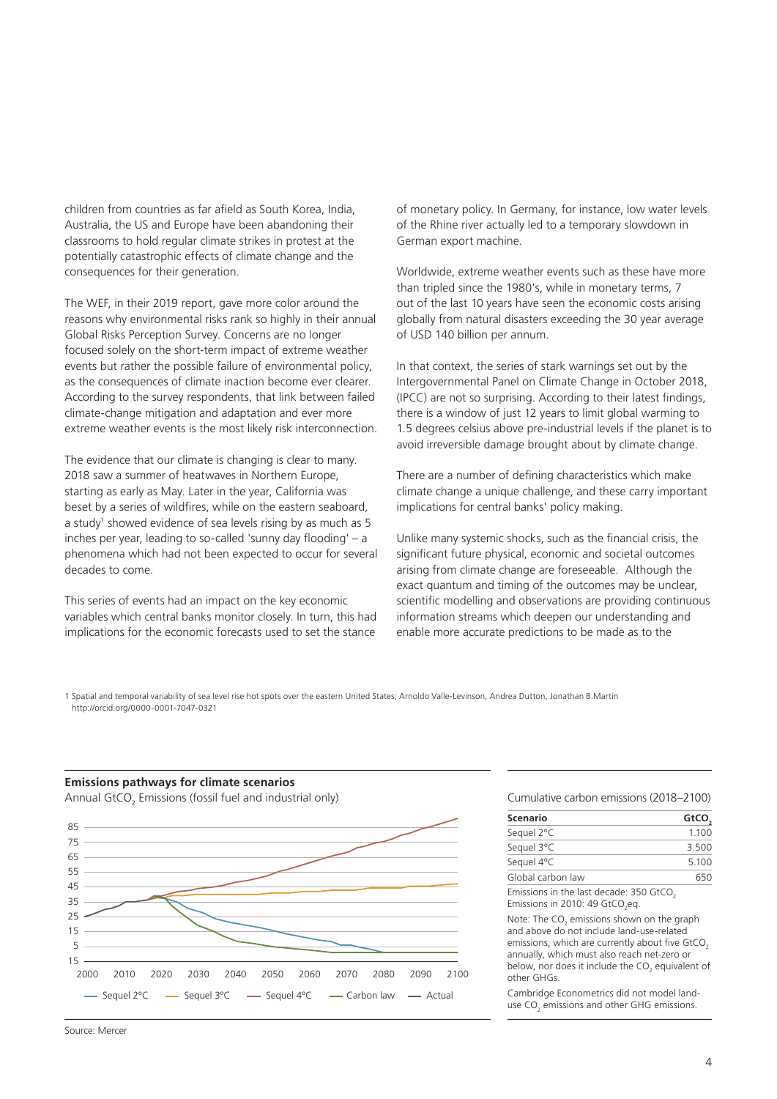children from countries as far afield as South Korea, India, Australia, the US and Europe have been abandoning their classrooms to hold regular climate strikes in protest at the potentially catastrophic effects of climate change and the consequences for their generation.

The WEF, in their 2019 report, gave more color around the reasons why environmental risks rank so highly in their annual Global Risks Perception Survey. Concerns are no longer focused solely on the short-term impact of extreme weather events but rather the possible failure of environmental policy, as the consequences of climate inaction become ever clearer. According to the survey respondents, that link between failed climate-change mitigation and adaptation and ever more extreme weather events is the most likely risk interconnection.

The evidence that our climate is changing is clear to many. 2018 saw a summer of heatwaves in Northern Europe, starting as early as May. Later in the year, California was beset by a series of wildfires, while on the eastern seaboard, a study<sup>1</sup> showed evidence of sea levels rising by as much as 5 inches per year, leading to so-called 'sunny day flooding' – a phenomena which had not been expected to occur for several decades to come.

This series of events had an impact on the key economic variables which central banks monitor closely. In turn, this had implications for the economic forecasts used to set the stance

of monetary policy. In Germany, for instance, low water levels of the Rhine river actually led to a temporary slowdown in German export machine.

Worldwide, extreme weather events such as these have more than tripled since the 1980's, while in monetary terms, 7 out of the last 10 years have seen the economic costs arising globally from natural disasters exceeding the 30 year average of USD 140 billion per annum.

In that context, the series of stark warnings set out by the Intergovernmental Panel on Climate Change in October 2018, (IPCC) are not so surprising. According to their latest findings, there is a window of just 12 years to limit global warming to 1.5 degrees celsius above pre-industrial levels if the planet is to avoid irreversible damage brought about by climate change.

There are a number of defining characteristics which make climate change a unique challenge, and these carry important implications for central banks' policy making.

Unlike many systemic shocks, such as the financial crisis, the significant future physical, economic and societal outcomes arising from climate change are foreseeable. Although the exact quantum and timing of the outcomes may be unclear, scientific modelling and observations are providing continuous information streams which deepen our understanding and enable more accurate predictions to be made as to the

1 Spatial and temporal variability of sea level rise hot spots over the eastern United States; Arnoldo Valle‐Levinson, Andrea Dutton, Jonathan B.Martin http://orcid.org/0000-0001-7047-0321

#### **Emissions pathways for climate scenarios**

Annual GtCO $_{_2}$  Emissions (fossil fuel and industrial only)



Cumulative carbon emissions (2018–2100)

| <b>Scenario</b>   | GtCO,    |
|-------------------|----------|
| Sequel 2°C        | 1.100    |
| Sequel 3°C        | 3.500    |
| Sequel 4°C        | 5.100    |
| Global carbon law | 650      |
| .                 | --- - -- |

Emissions in the last decade: 350 GtCO. Emissions in 2010: 49  $GtCO_2$ eq.

Note: The  $CO<sub>2</sub>$  emissions shown on the graph and above do not include land-use-related emissions, which are currently about five GtCO. annually, which must also reach net-zero or below, nor does it include the  $CO<sub>2</sub>$  equivalent of other GHGs.

Cambridge Econometrics did not model landuse  $CO<sub>2</sub>$  emissions and other GHG emissions.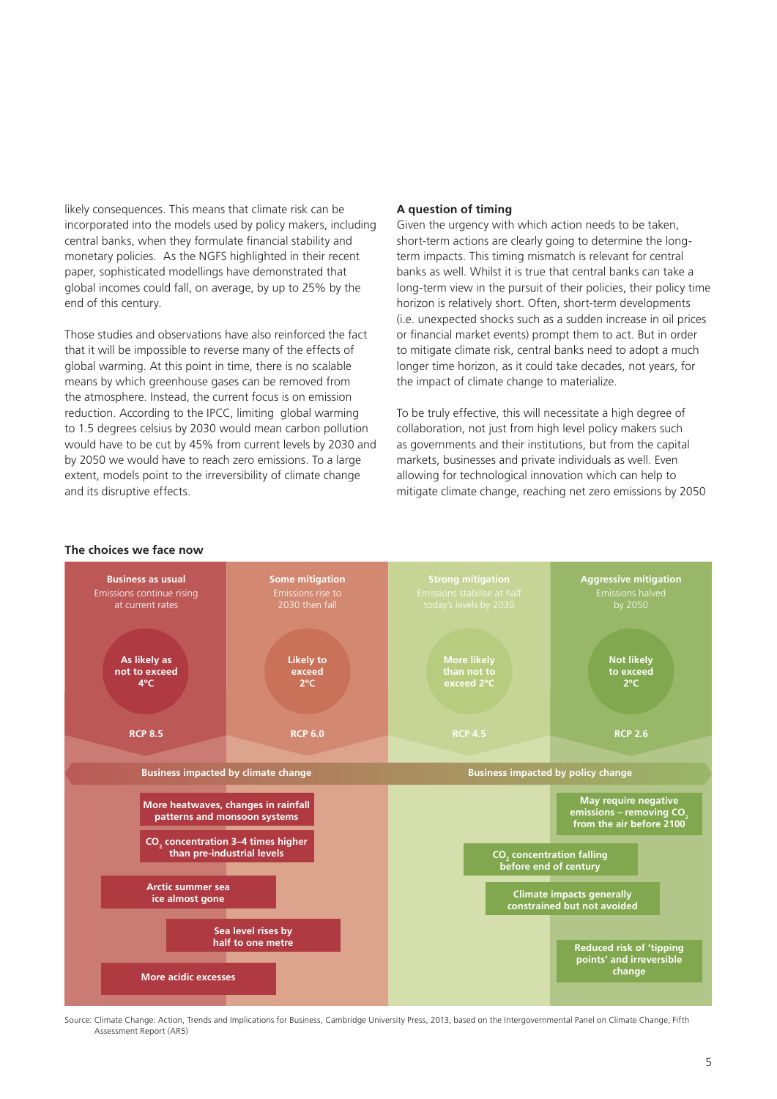likely consequences. This means that climate risk can be incorporated into the models used by policy makers, including central banks, when they formulate financial stability and monetary policies. As the NGFS highlighted in their recent paper, sophisticated modellings have demonstrated that global incomes could fall, on average, by up to 25% by the end of this century.

Those studies and observations have also reinforced the fact that it will be impossible to reverse many of the effects of global warming. At this point in time, there is no scalable means by which greenhouse gases can be removed from the atmosphere. Instead, the current focus is on emission reduction. According to the IPCC, limiting global warming to 1.5 degrees celsius by 2030 would mean carbon pollution would have to be cut by 45% from current levels by 2030 and by 2050 we would have to reach zero emissions. To a large extent, models point to the irreversibility of climate change and its disruptive effects.

#### **A question of timing**

Given the urgency with which action needs to be taken, short-term actions are clearly going to determine the longterm impacts. This timing mismatch is relevant for central banks as well. Whilst it is true that central banks can take a long-term view in the pursuit of their policies, their policy time horizon is relatively short. Often, short-term developments (i.e. unexpected shocks such as a sudden increase in oil prices or financial market events) prompt them to act. But in order to mitigate climate risk, central banks need to adopt a much longer time horizon, as it could take decades, not years, for the impact of climate change to materialize.

To be truly effective, this will necessitate a high degree of collaboration, not just from high level policy makers such as governments and their institutions, but from the capital markets, businesses and private individuals as well. Even allowing for technological innovation which can help to mitigate climate change, reaching net zero emissions by 2050





Source: Climate Change: Action, Trends and Implications for Business, Cambridge University Press, 2013, based on the Intergovernmental Panel on Climate Change, Fifth Assessment Report (AR5)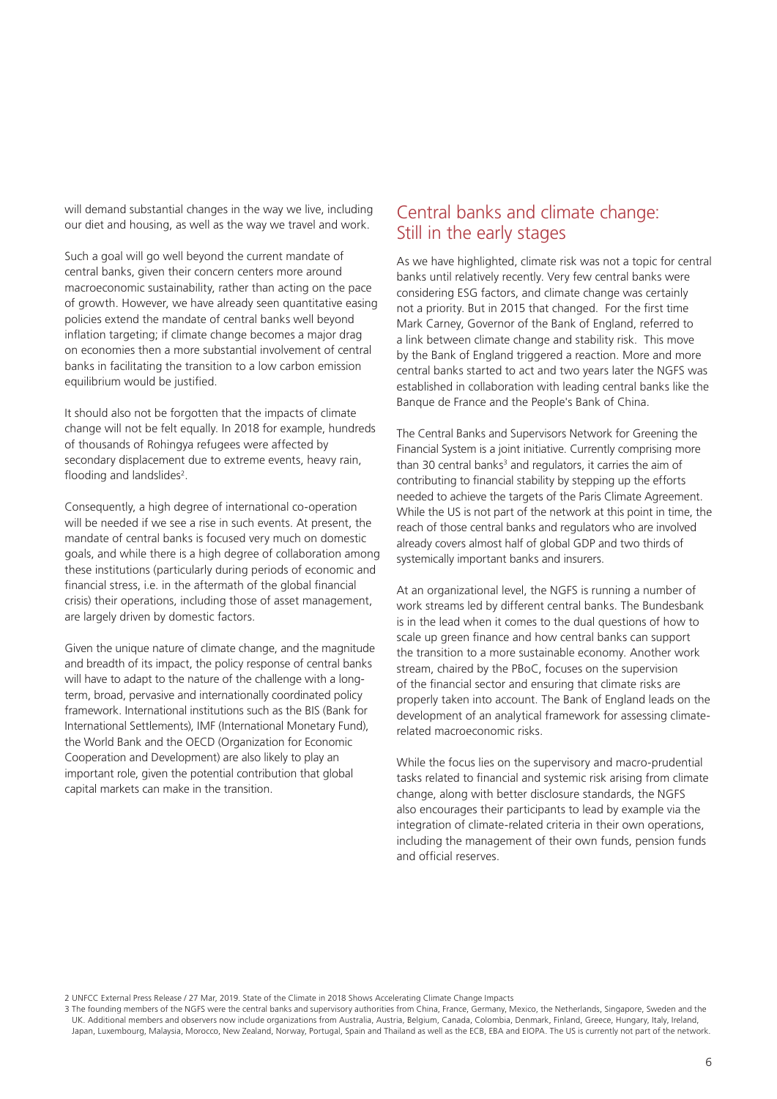will demand substantial changes in the way we live, including our diet and housing, as well as the way we travel and work.

Such a goal will go well beyond the current mandate of central banks, given their concern centers more around macroeconomic sustainability, rather than acting on the pace of growth. However, we have already seen quantitative easing policies extend the mandate of central banks well beyond inflation targeting; if climate change becomes a major drag on economies then a more substantial involvement of central banks in facilitating the transition to a low carbon emission equilibrium would be justified.

It should also not be forgotten that the impacts of climate change will not be felt equally. In 2018 for example, hundreds of thousands of Rohingya refugees were affected by secondary displacement due to extreme events, heavy rain, flooding and landslides<sup>2</sup>.

Consequently, a high degree of international co-operation will be needed if we see a rise in such events. At present, the mandate of central banks is focused very much on domestic goals, and while there is a high degree of collaboration among these institutions (particularly during periods of economic and financial stress, i.e. in the aftermath of the global financial crisis) their operations, including those of asset management, are largely driven by domestic factors.

Given the unique nature of climate change, and the magnitude and breadth of its impact, the policy response of central banks will have to adapt to the nature of the challenge with a longterm, broad, pervasive and internationally coordinated policy framework. International institutions such as the BIS (Bank for International Settlements), IMF (International Monetary Fund), the World Bank and the OECD (Organization for Economic Cooperation and Development) are also likely to play an important role, given the potential contribution that global capital markets can make in the transition.

# Central banks and climate change: Still in the early stages

As we have highlighted, climate risk was not a topic for central banks until relatively recently. Very few central banks were considering ESG factors, and climate change was certainly not a priority. But in 2015 that changed. For the first time Mark Carney, Governor of the Bank of England, referred to a link between climate change and stability risk. This move by the Bank of England triggered a reaction. More and more central banks started to act and two years later the NGFS was established in collaboration with leading central banks like the Banque de France and the People's Bank of China.

The Central Banks and Supervisors Network for Greening the Financial System is a joint initiative. Currently comprising more than 30 central banks<sup>3</sup> and regulators, it carries the aim of contributing to financial stability by stepping up the efforts needed to achieve the targets of the Paris Climate Agreement. While the US is not part of the network at this point in time, the reach of those central banks and regulators who are involved already covers almost half of global GDP and two thirds of systemically important banks and insurers.

At an organizational level, the NGFS is running a number of work streams led by different central banks. The Bundesbank is in the lead when it comes to the dual questions of how to scale up green finance and how central banks can support the transition to a more sustainable economy. Another work stream, chaired by the PBoC, focuses on the supervision of the financial sector and ensuring that climate risks are properly taken into account. The Bank of England leads on the development of an analytical framework for assessing climaterelated macroeconomic risks.

While the focus lies on the supervisory and macro-prudential tasks related to financial and systemic risk arising from climate change, along with better disclosure standards, the NGFS also encourages their participants to lead by example via the integration of climate-related criteria in their own operations, including the management of their own funds, pension funds and official reserves.

2 UNFCC External Press Release / 27 Mar, 2019. State of the Climate in 2018 Shows Accelerating Climate Change Impacts

3 The founding members of the NGFS were the central banks and supervisory authorities from China, France, Germany, Mexico, the Netherlands, Singapore, Sweden and the UK. Additional members and observers now include organizations from Australia, Austria, Belgium, Canada, Colombia, Denmark, Finland, Greece, Hungary, Italy, Ireland, Japan, Luxembourg, Malaysia, Morocco, New Zealand, Norway, Portugal, Spain and Thailand as well as the ECB, EBA and EIOPA. The US is currently not part of the network.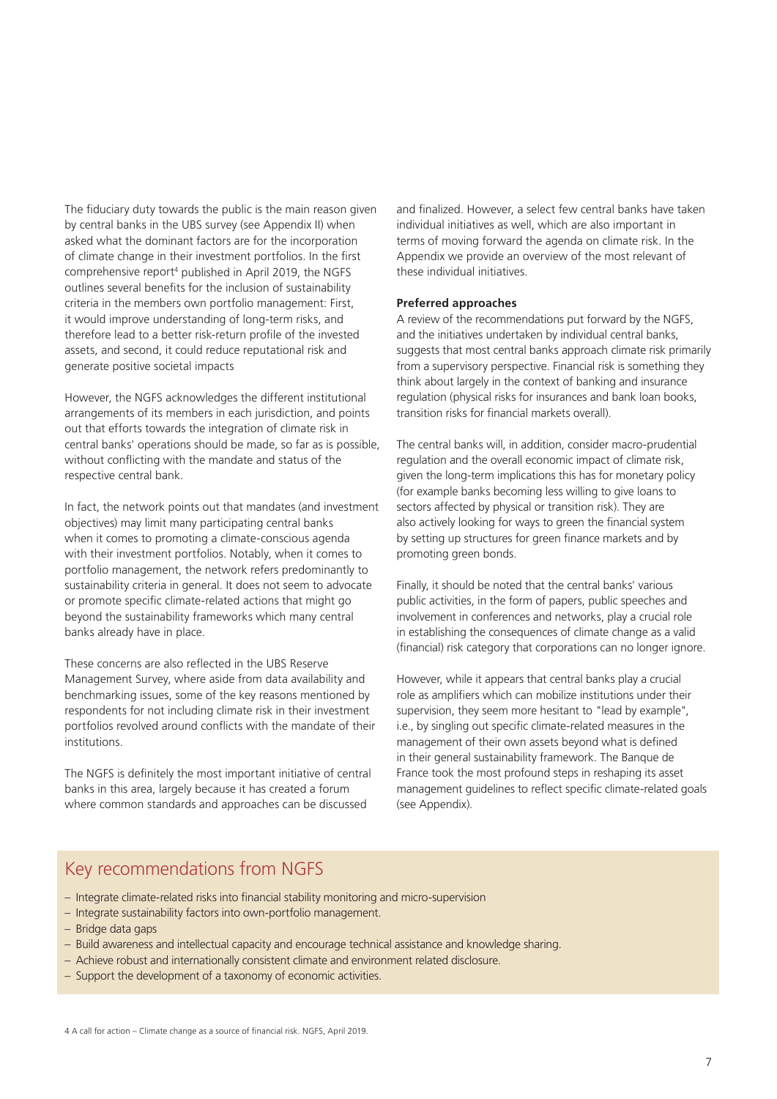The fiduciary duty towards the public is the main reason given by central banks in the UBS survey (see Appendix II) when asked what the dominant factors are for the incorporation of climate change in their investment portfolios. In the first comprehensive report4 published in April 2019, the NGFS outlines several benefits for the inclusion of sustainability criteria in the members own portfolio management: First, it would improve understanding of long-term risks, and therefore lead to a better risk-return profile of the invested assets, and second, it could reduce reputational risk and generate positive societal impacts

However, the NGFS acknowledges the different institutional arrangements of its members in each jurisdiction, and points out that efforts towards the integration of climate risk in central banks' operations should be made, so far as is possible, without conflicting with the mandate and status of the respective central bank.

In fact, the network points out that mandates (and investment objectives) may limit many participating central banks when it comes to promoting a climate-conscious agenda with their investment portfolios. Notably, when it comes to portfolio management, the network refers predominantly to sustainability criteria in general. It does not seem to advocate or promote specific climate-related actions that might go beyond the sustainability frameworks which many central banks already have in place.

These concerns are also reflected in the UBS Reserve Management Survey, where aside from data availability and benchmarking issues, some of the key reasons mentioned by respondents for not including climate risk in their investment portfolios revolved around conflicts with the mandate of their institutions.

The NGFS is definitely the most important initiative of central banks in this area, largely because it has created a forum where common standards and approaches can be discussed

and finalized. However, a select few central banks have taken individual initiatives as well, which are also important in terms of moving forward the agenda on climate risk. In the Appendix we provide an overview of the most relevant of these individual initiatives.

#### **Preferred approaches**

A review of the recommendations put forward by the NGFS, and the initiatives undertaken by individual central banks, suggests that most central banks approach climate risk primarily from a supervisory perspective. Financial risk is something they think about largely in the context of banking and insurance regulation (physical risks for insurances and bank loan books, transition risks for financial markets overall).

The central banks will, in addition, consider macro-prudential regulation and the overall economic impact of climate risk, given the long-term implications this has for monetary policy (for example banks becoming less willing to give loans to sectors affected by physical or transition risk). They are also actively looking for ways to green the financial system by setting up structures for green finance markets and by promoting green bonds.

Finally, it should be noted that the central banks' various public activities, in the form of papers, public speeches and involvement in conferences and networks, play a crucial role in establishing the consequences of climate change as a valid (financial) risk category that corporations can no longer ignore.

However, while it appears that central banks play a crucial role as amplifiers which can mobilize institutions under their supervision, they seem more hesitant to "lead by example", i.e., by singling out specific climate-related measures in the management of their own assets beyond what is defined in their general sustainability framework. The Banque de France took the most profound steps in reshaping its asset management guidelines to reflect specific climate-related goals (see Appendix).

# Key recommendations from NGFS

- Integrate climate-related risks into financial stability monitoring and micro-supervision
- Integrate sustainability factors into own-portfolio management.
- Bridge data gaps
- Build awareness and intellectual capacity and encourage technical assistance and knowledge sharing.
- Achieve robust and internationally consistent climate and environment related disclosure.
- Support the development of a taxonomy of economic activities.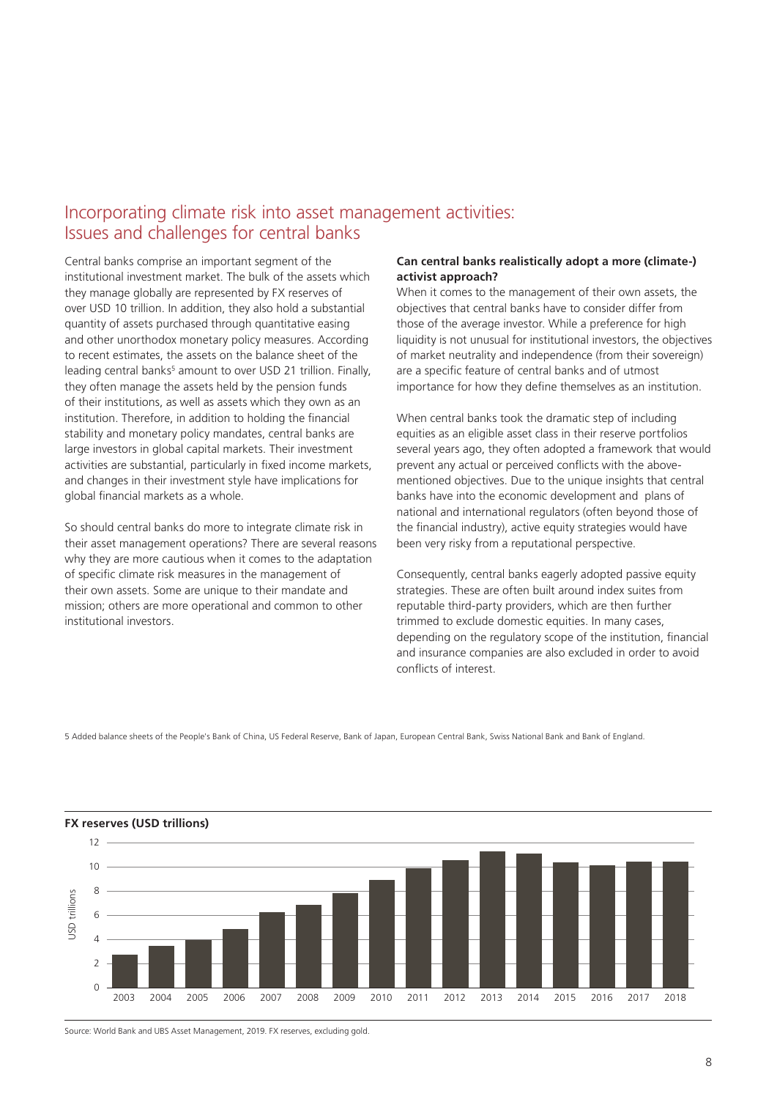# Incorporating climate risk into asset management activities: Issues and challenges for central banks

Central banks comprise an important segment of the institutional investment market. The bulk of the assets which they manage globally are represented by FX reserves of over USD 10 trillion. In addition, they also hold a substantial quantity of assets purchased through quantitative easing and other unorthodox monetary policy measures. According to recent estimates, the assets on the balance sheet of the leading central banks<sup>5</sup> amount to over USD 21 trillion. Finally, they often manage the assets held by the pension funds of their institutions, as well as assets which they own as an institution. Therefore, in addition to holding the financial stability and monetary policy mandates, central banks are large investors in global capital markets. Their investment activities are substantial, particularly in fixed income markets, and changes in their investment style have implications for global financial markets as a whole.

So should central banks do more to integrate climate risk in their asset management operations? There are several reasons why they are more cautious when it comes to the adaptation of specific climate risk measures in the management of their own assets. Some are unique to their mandate and mission; others are more operational and common to other institutional investors.

#### **Can central banks realistically adopt a more (climate-) activist approach?**

When it comes to the management of their own assets, the objectives that central banks have to consider differ from those of the average investor. While a preference for high liquidity is not unusual for institutional investors, the objectives of market neutrality and independence (from their sovereign) are a specific feature of central banks and of utmost importance for how they define themselves as an institution.

When central banks took the dramatic step of including equities as an eligible asset class in their reserve portfolios several years ago, they often adopted a framework that would prevent any actual or perceived conflicts with the abovementioned objectives. Due to the unique insights that central banks have into the economic development and plans of national and international regulators (often beyond those of the financial industry), active equity strategies would have been very risky from a reputational perspective.

Consequently, central banks eagerly adopted passive equity strategies. These are often built around index suites from reputable third-party providers, which are then further trimmed to exclude domestic equities. In many cases, depending on the regulatory scope of the institution, financial and insurance companies are also excluded in order to avoid conflicts of interest.

5 Added balance sheets of the People's Bank of China, US Federal Reserve, Bank of Japan, European Central Bank, Swiss National Bank and Bank of England.



Source: World Bank and UBS Asset Management, 2019. FX reserves, excluding gold.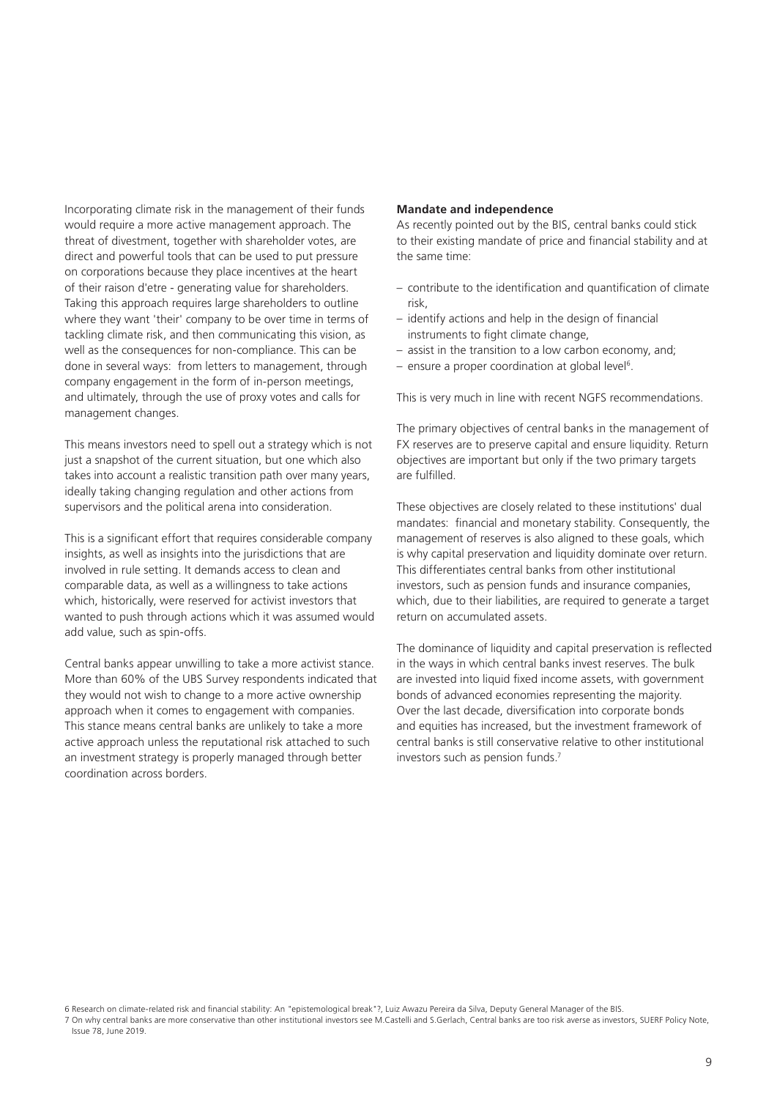Incorporating climate risk in the management of their funds would require a more active management approach. The threat of divestment, together with shareholder votes, are direct and powerful tools that can be used to put pressure on corporations because they place incentives at the heart of their raison d'etre - generating value for shareholders. Taking this approach requires large shareholders to outline where they want 'their' company to be over time in terms of tackling climate risk, and then communicating this vision, as well as the consequences for non-compliance. This can be done in several ways: from letters to management, through company engagement in the form of in-person meetings, and ultimately, through the use of proxy votes and calls for management changes.

This means investors need to spell out a strategy which is not just a snapshot of the current situation, but one which also takes into account a realistic transition path over many years, ideally taking changing regulation and other actions from supervisors and the political arena into consideration.

This is a significant effort that requires considerable company insights, as well as insights into the jurisdictions that are involved in rule setting. It demands access to clean and comparable data, as well as a willingness to take actions which, historically, were reserved for activist investors that wanted to push through actions which it was assumed would add value, such as spin-offs.

Central banks appear unwilling to take a more activist stance. More than 60% of the UBS Survey respondents indicated that they would not wish to change to a more active ownership approach when it comes to engagement with companies. This stance means central banks are unlikely to take a more active approach unless the reputational risk attached to such an investment strategy is properly managed through better coordination across borders.

#### **Mandate and independence**

As recently pointed out by the BIS, central banks could stick to their existing mandate of price and financial stability and at the same time:

- contribute to the identification and quantification of climate risk,
- identify actions and help in the design of financial instruments to fight climate change,
- assist in the transition to a low carbon economy, and;
- $-$  ensure a proper coordination at global level<sup>6</sup>.

This is very much in line with recent NGFS recommendations.

The primary objectives of central banks in the management of FX reserves are to preserve capital and ensure liquidity. Return objectives are important but only if the two primary targets are fulfilled.

These objectives are closely related to these institutions' dual mandates: financial and monetary stability. Consequently, the management of reserves is also aligned to these goals, which is why capital preservation and liquidity dominate over return. This differentiates central banks from other institutional investors, such as pension funds and insurance companies, which, due to their liabilities, are required to generate a target return on accumulated assets.

The dominance of liquidity and capital preservation is reflected in the ways in which central banks invest reserves. The bulk are invested into liquid fixed income assets, with government bonds of advanced economies representing the majority. Over the last decade, diversification into corporate bonds and equities has increased, but the investment framework of central banks is still conservative relative to other institutional investors such as pension funds.7

<sup>6</sup> Research on climate-related risk and financial stability: An "epistemological break"?, Luiz Awazu Pereira da Silva, Deputy General Manager of the BIS.

<sup>7</sup> On why central banks are more conservative than other institutional investors see M.Castelli and S.Gerlach, Central banks are too risk averse as investors, SUERF Policy Note, Issue 78, June 2019.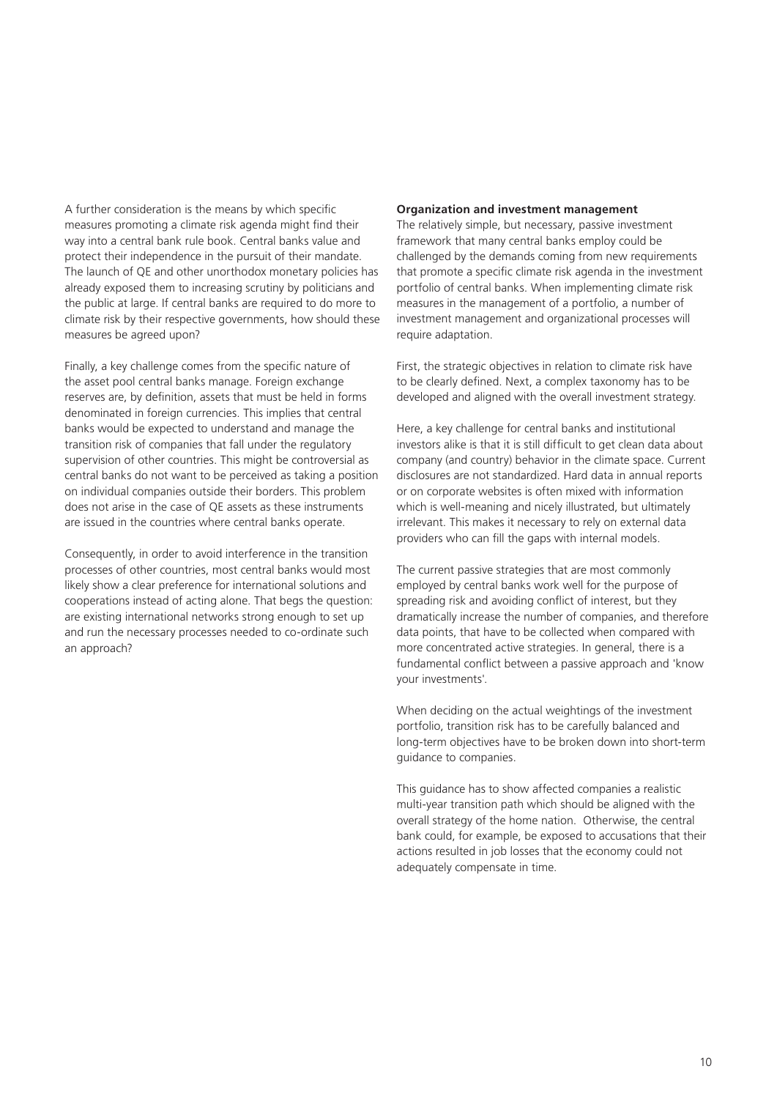A further consideration is the means by which specific measures promoting a climate risk agenda might find their way into a central bank rule book. Central banks value and protect their independence in the pursuit of their mandate. The launch of QE and other unorthodox monetary policies has already exposed them to increasing scrutiny by politicians and the public at large. If central banks are required to do more to climate risk by their respective governments, how should these measures be agreed upon?

Finally, a key challenge comes from the specific nature of the asset pool central banks manage. Foreign exchange reserves are, by definition, assets that must be held in forms denominated in foreign currencies. This implies that central banks would be expected to understand and manage the transition risk of companies that fall under the regulatory supervision of other countries. This might be controversial as central banks do not want to be perceived as taking a position on individual companies outside their borders. This problem does not arise in the case of QE assets as these instruments are issued in the countries where central banks operate.

Consequently, in order to avoid interference in the transition processes of other countries, most central banks would most likely show a clear preference for international solutions and cooperations instead of acting alone. That begs the question: are existing international networks strong enough to set up and run the necessary processes needed to co-ordinate such an approach?

#### **Organization and investment management**

The relatively simple, but necessary, passive investment framework that many central banks employ could be challenged by the demands coming from new requirements that promote a specific climate risk agenda in the investment portfolio of central banks. When implementing climate risk measures in the management of a portfolio, a number of investment management and organizational processes will require adaptation.

First, the strategic objectives in relation to climate risk have to be clearly defined. Next, a complex taxonomy has to be developed and aligned with the overall investment strategy.

Here, a key challenge for central banks and institutional investors alike is that it is still difficult to get clean data about company (and country) behavior in the climate space. Current disclosures are not standardized. Hard data in annual reports or on corporate websites is often mixed with information which is well-meaning and nicely illustrated, but ultimately irrelevant. This makes it necessary to rely on external data providers who can fill the gaps with internal models.

The current passive strategies that are most commonly employed by central banks work well for the purpose of spreading risk and avoiding conflict of interest, but they dramatically increase the number of companies, and therefore data points, that have to be collected when compared with more concentrated active strategies. In general, there is a fundamental conflict between a passive approach and 'know your investments'.

When deciding on the actual weightings of the investment portfolio, transition risk has to be carefully balanced and long-term objectives have to be broken down into short-term guidance to companies.

This guidance has to show affected companies a realistic multi-year transition path which should be aligned with the overall strategy of the home nation. Otherwise, the central bank could, for example, be exposed to accusations that their actions resulted in job losses that the economy could not adequately compensate in time.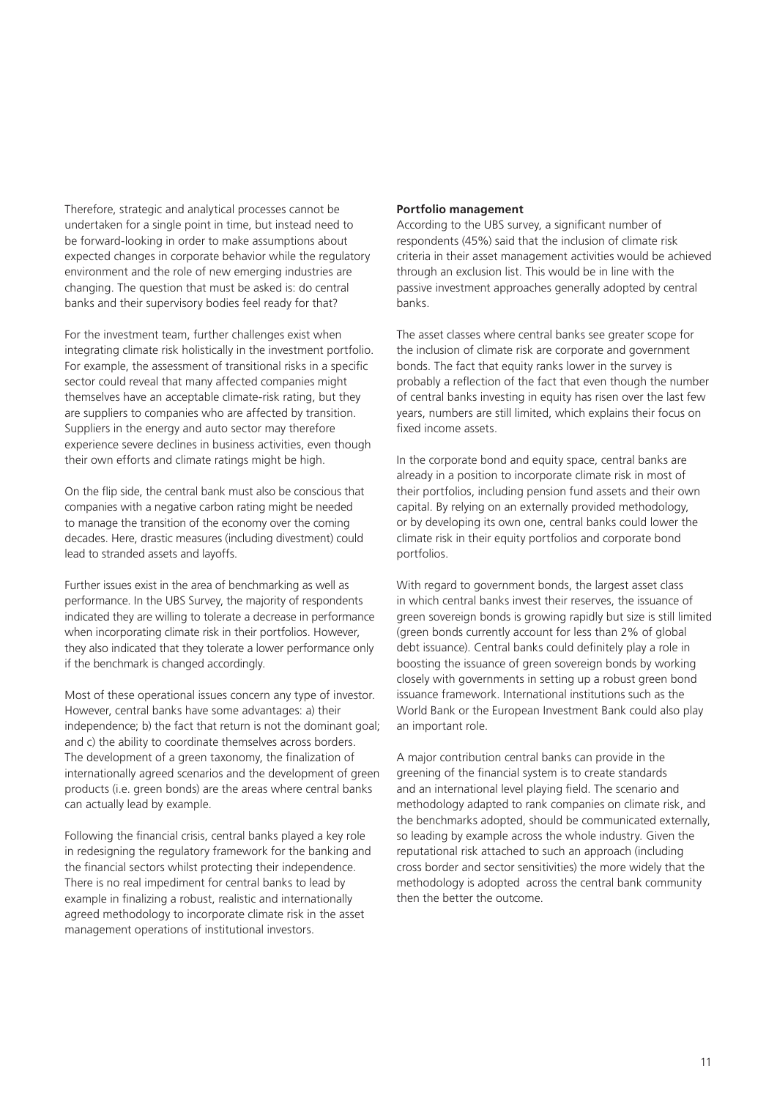Therefore, strategic and analytical processes cannot be undertaken for a single point in time, but instead need to be forward-looking in order to make assumptions about expected changes in corporate behavior while the regulatory environment and the role of new emerging industries are changing. The question that must be asked is: do central banks and their supervisory bodies feel ready for that?

For the investment team, further challenges exist when integrating climate risk holistically in the investment portfolio. For example, the assessment of transitional risks in a specific sector could reveal that many affected companies might themselves have an acceptable climate-risk rating, but they are suppliers to companies who are affected by transition. Suppliers in the energy and auto sector may therefore experience severe declines in business activities, even though their own efforts and climate ratings might be high.

On the flip side, the central bank must also be conscious that companies with a negative carbon rating might be needed to manage the transition of the economy over the coming decades. Here, drastic measures (including divestment) could lead to stranded assets and layoffs.

Further issues exist in the area of benchmarking as well as performance. In the UBS Survey, the majority of respondents indicated they are willing to tolerate a decrease in performance when incorporating climate risk in their portfolios. However, they also indicated that they tolerate a lower performance only if the benchmark is changed accordingly.

Most of these operational issues concern any type of investor. However, central banks have some advantages: a) their independence; b) the fact that return is not the dominant goal; and c) the ability to coordinate themselves across borders. The development of a green taxonomy, the finalization of internationally agreed scenarios and the development of green products (i.e. green bonds) are the areas where central banks can actually lead by example.

Following the financial crisis, central banks played a key role in redesigning the regulatory framework for the banking and the financial sectors whilst protecting their independence. There is no real impediment for central banks to lead by example in finalizing a robust, realistic and internationally agreed methodology to incorporate climate risk in the asset management operations of institutional investors.

#### **Portfolio management**

According to the UBS survey, a significant number of respondents (45%) said that the inclusion of climate risk criteria in their asset management activities would be achieved through an exclusion list. This would be in line with the passive investment approaches generally adopted by central banks.

The asset classes where central banks see greater scope for the inclusion of climate risk are corporate and government bonds. The fact that equity ranks lower in the survey is probably a reflection of the fact that even though the number of central banks investing in equity has risen over the last few years, numbers are still limited, which explains their focus on fixed income assets.

In the corporate bond and equity space, central banks are already in a position to incorporate climate risk in most of their portfolios, including pension fund assets and their own capital. By relying on an externally provided methodology, or by developing its own one, central banks could lower the climate risk in their equity portfolios and corporate bond portfolios.

With regard to government bonds, the largest asset class in which central banks invest their reserves, the issuance of green sovereign bonds is growing rapidly but size is still limited (green bonds currently account for less than 2% of global debt issuance). Central banks could definitely play a role in boosting the issuance of green sovereign bonds by working closely with governments in setting up a robust green bond issuance framework. International institutions such as the World Bank or the European Investment Bank could also play an important role.

A major contribution central banks can provide in the greening of the financial system is to create standards and an international level playing field. The scenario and methodology adapted to rank companies on climate risk, and the benchmarks adopted, should be communicated externally, so leading by example across the whole industry. Given the reputational risk attached to such an approach (including cross border and sector sensitivities) the more widely that the methodology is adopted across the central bank community then the better the outcome.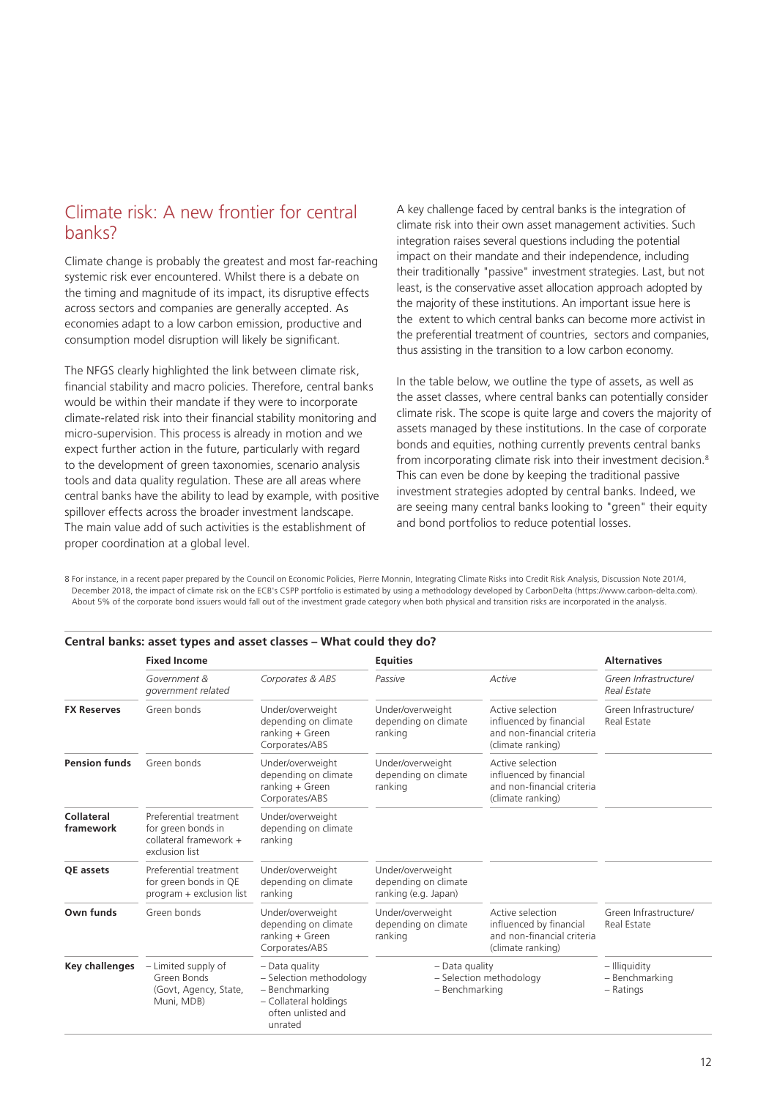# Climate risk: A new frontier for central banks?

Climate change is probably the greatest and most far-reaching systemic risk ever encountered. Whilst there is a debate on the timing and magnitude of its impact, its disruptive effects across sectors and companies are generally accepted. As economies adapt to a low carbon emission, productive and consumption model disruption will likely be significant.

The NFGS clearly highlighted the link between climate risk, financial stability and macro policies. Therefore, central banks would be within their mandate if they were to incorporate climate-related risk into their financial stability monitoring and micro-supervision. This process is already in motion and we expect further action in the future, particularly with regard to the development of green taxonomies, scenario analysis tools and data quality regulation. These are all areas where central banks have the ability to lead by example, with positive spillover effects across the broader investment landscape. The main value add of such activities is the establishment of proper coordination at a global level.

A key challenge faced by central banks is the integration of climate risk into their own asset management activities. Such integration raises several questions including the potential impact on their mandate and their independence, including their traditionally "passive" investment strategies. Last, but not least, is the conservative asset allocation approach adopted by the majority of these institutions. An important issue here is the extent to which central banks can become more activist in the preferential treatment of countries, sectors and companies, thus assisting in the transition to a low carbon economy.

In the table below, we outline the type of assets, as well as the asset classes, where central banks can potentially consider climate risk. The scope is quite large and covers the majority of assets managed by these institutions. In the case of corporate bonds and equities, nothing currently prevents central banks from incorporating climate risk into their investment decision.<sup>8</sup> This can even be done by keeping the traditional passive investment strategies adopted by central banks. Indeed, we are seeing many central banks looking to "green" their equity and bond portfolios to reduce potential losses.

8 For instance, in a recent paper prepared by the Council on Economic Policies, Pierre Monnin, Integrating Climate Risks into Credit Risk Analysis, Discussion Note 201/4, December 2018, the impact of climate risk on the ECB's CSPP portfolio is estimated by using a methodology developed by CarbonDelta (https://www.carbon-delta.com). About 5% of the corporate bond issuers would fall out of the investment grade category when both physical and transition risks are incorporated in the analysis.

|                         | <b>Fixed Income</b>                                                                      |                                                                                                                         | <b>Equities</b>                                                  | <b>Alternatives</b>                                                                            |                                              |
|-------------------------|------------------------------------------------------------------------------------------|-------------------------------------------------------------------------------------------------------------------------|------------------------------------------------------------------|------------------------------------------------------------------------------------------------|----------------------------------------------|
|                         | Government &<br>government related                                                       | Corporates & ABS                                                                                                        | Passive                                                          | Active                                                                                         | Green Infrastructure/<br><b>Real Estate</b>  |
| <b>FX Reserves</b>      | Green bonds                                                                              | Under/overweight<br>depending on climate<br>$ranking + Green$<br>Corporates/ABS                                         | Under/overweight<br>depending on climate<br>ranking              | Active selection<br>influenced by financial<br>and non-financial criteria<br>(climate ranking) | Green Infrastructure/<br>Real Estate         |
| <b>Pension funds</b>    | Green bonds                                                                              | Under/overweight<br>depending on climate<br>$ranking + Green$<br>Corporates/ABS                                         | Under/overweight<br>depending on climate<br>ranking              | Active selection<br>influenced by financial<br>and non-financial criteria<br>(climate ranking) |                                              |
| Collateral<br>framework | Preferential treatment<br>for green bonds in<br>collateral framework +<br>exclusion list | Under/overweight<br>depending on climate<br>ranking                                                                     |                                                                  |                                                                                                |                                              |
| <b>OE</b> assets        | Preferential treatment<br>for green bonds in QE<br>program + exclusion list              | Under/overweight<br>depending on climate<br>ranking                                                                     | Under/overweight<br>depending on climate<br>ranking (e.g. Japan) |                                                                                                |                                              |
| Own funds               | Green bonds                                                                              | Under/overweight<br>depending on climate<br>ranking $+$ Green<br>Corporates/ABS                                         | Under/overweight<br>depending on climate<br>ranking              | Active selection<br>influenced by financial<br>and non-financial criteria<br>(climate ranking) | Green Infrastructure/<br><b>Real Estate</b>  |
| <b>Key challenges</b>   | - Limited supply of<br>Green Bonds<br>(Govt, Agency, State,<br>Muni, MDB)                | $-$ Data quality<br>- Selection methodology<br>- Benchmarking<br>- Collateral holdings<br>often unlisted and<br>unrated | $-$ Data quality<br>- Selection methodology<br>- Benchmarking    |                                                                                                | - Illiquidity<br>- Benchmarking<br>- Ratings |

#### **Central banks: asset types and asset classes – What could they do?**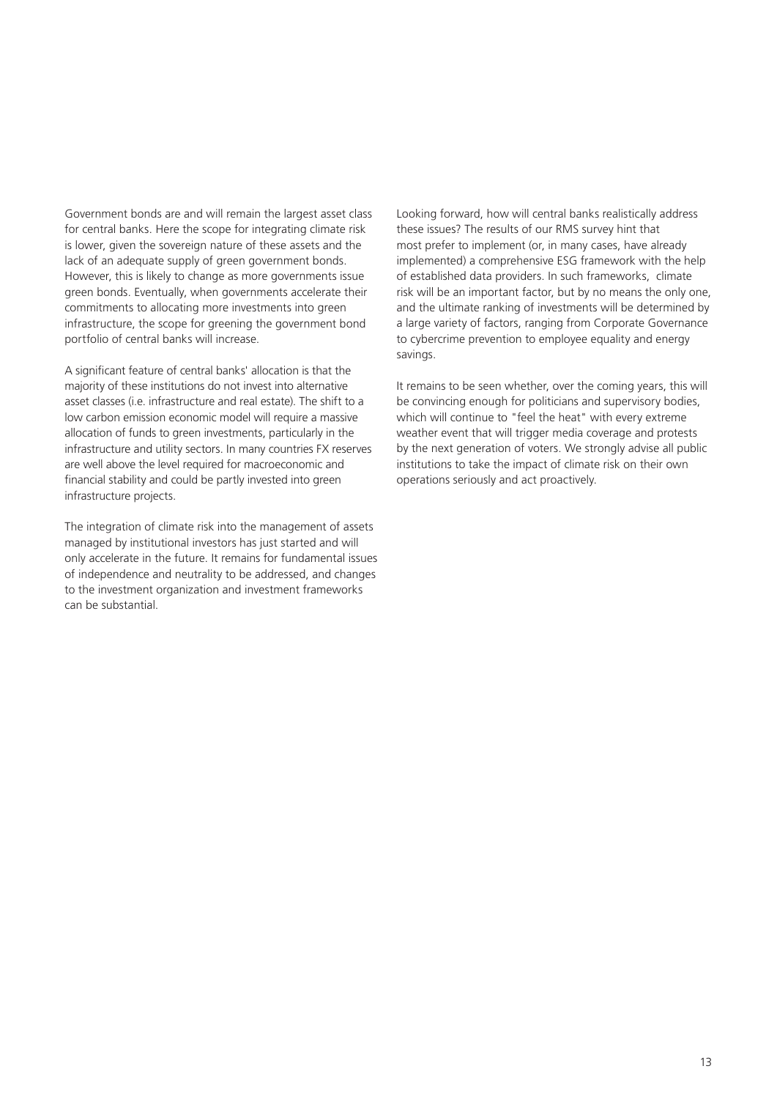Government bonds are and will remain the largest asset class for central banks. Here the scope for integrating climate risk is lower, given the sovereign nature of these assets and the lack of an adequate supply of green government bonds. However, this is likely to change as more governments issue green bonds. Eventually, when governments accelerate their commitments to allocating more investments into green infrastructure, the scope for greening the government bond portfolio of central banks will increase.

A significant feature of central banks' allocation is that the majority of these institutions do not invest into alternative asset classes (i.e. infrastructure and real estate). The shift to a low carbon emission economic model will require a massive allocation of funds to green investments, particularly in the infrastructure and utility sectors. In many countries FX reserves are well above the level required for macroeconomic and financial stability and could be partly invested into green infrastructure projects.

The integration of climate risk into the management of assets managed by institutional investors has just started and will only accelerate in the future. It remains for fundamental issues of independence and neutrality to be addressed, and changes to the investment organization and investment frameworks can be substantial.

Looking forward, how will central banks realistically address these issues? The results of our RMS survey hint that most prefer to implement (or, in many cases, have already implemented) a comprehensive ESG framework with the help of established data providers. In such frameworks, climate risk will be an important factor, but by no means the only one, and the ultimate ranking of investments will be determined by a large variety of factors, ranging from Corporate Governance to cybercrime prevention to employee equality and energy savings.

It remains to be seen whether, over the coming years, this will be convincing enough for politicians and supervisory bodies, which will continue to "feel the heat" with every extreme weather event that will trigger media coverage and protests by the next generation of voters. We strongly advise all public institutions to take the impact of climate risk on their own operations seriously and act proactively.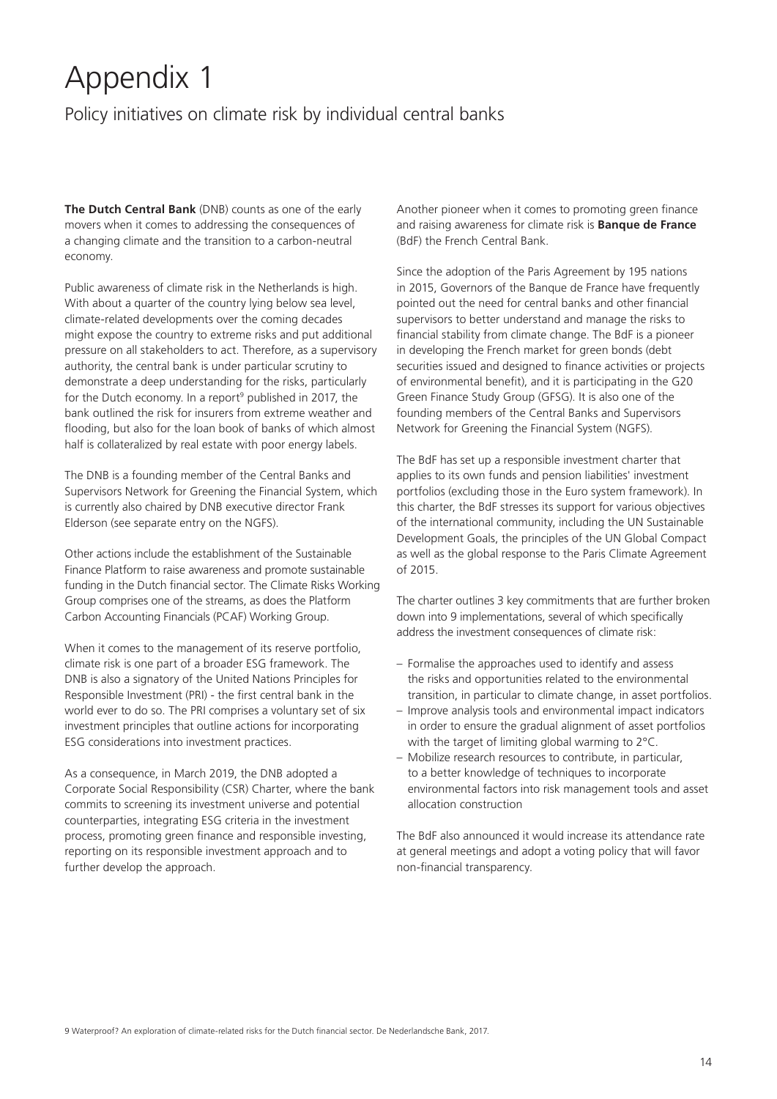# Appendix 1

# Policy initiatives on climate risk by individual central banks

**The Dutch Central Bank** (DNB) counts as one of the early movers when it comes to addressing the consequences of a changing climate and the transition to a carbon-neutral economy.

Public awareness of climate risk in the Netherlands is high. With about a quarter of the country lying below sea level, climate-related developments over the coming decades might expose the country to extreme risks and put additional pressure on all stakeholders to act. Therefore, as a supervisory authority, the central bank is under particular scrutiny to demonstrate a deep understanding for the risks, particularly for the Dutch economy. In a report<sup>9</sup> published in 2017, the bank outlined the risk for insurers from extreme weather and flooding, but also for the loan book of banks of which almost half is collateralized by real estate with poor energy labels.

The DNB is a founding member of the Central Banks and Supervisors Network for Greening the Financial System, which is currently also chaired by DNB executive director Frank Elderson (see separate entry on the NGFS).

Other actions include the establishment of the Sustainable Finance Platform to raise awareness and promote sustainable funding in the Dutch financial sector. The Climate Risks Working Group comprises one of the streams, as does the Platform Carbon Accounting Financials (PCAF) Working Group.

When it comes to the management of its reserve portfolio, climate risk is one part of a broader ESG framework. The DNB is also a signatory of the United Nations Principles for Responsible Investment (PRI) - the first central bank in the world ever to do so. The PRI comprises a voluntary set of six investment principles that outline actions for incorporating ESG considerations into investment practices.

As a consequence, in March 2019, the DNB adopted a Corporate Social Responsibility (CSR) Charter, where the bank commits to screening its investment universe and potential counterparties, integrating ESG criteria in the investment process, promoting green finance and responsible investing, reporting on its responsible investment approach and to further develop the approach.

Another pioneer when it comes to promoting green finance and raising awareness for climate risk is **Banque de France** (BdF) the French Central Bank.

Since the adoption of the Paris Agreement by 195 nations in 2015, Governors of the Banque de France have frequently pointed out the need for central banks and other financial supervisors to better understand and manage the risks to financial stability from climate change. The BdF is a pioneer in developing the French market for green bonds (debt securities issued and designed to finance activities or projects of environmental benefit), and it is participating in the G20 Green Finance Study Group (GFSG). It is also one of the founding members of the Central Banks and Supervisors Network for Greening the Financial System (NGFS).

The BdF has set up a responsible investment charter that applies to its own funds and pension liabilities' investment portfolios (excluding those in the Euro system framework). In this charter, the BdF stresses its support for various objectives of the international community, including the UN Sustainable Development Goals, the principles of the UN Global Compact as well as the global response to the Paris Climate Agreement of 2015.

The charter outlines 3 key commitments that are further broken down into 9 implementations, several of which specifically address the investment consequences of climate risk:

- Formalise the approaches used to identify and assess the risks and opportunities related to the environmental transition, in particular to climate change, in asset portfolios.
- Improve analysis tools and environmental impact indicators in order to ensure the gradual alignment of asset portfolios with the target of limiting global warming to 2°C.
- Mobilize research resources to contribute, in particular, to a better knowledge of techniques to incorporate environmental factors into risk management tools and asset allocation construction

The BdF also announced it would increase its attendance rate at general meetings and adopt a voting policy that will favor non-financial transparency.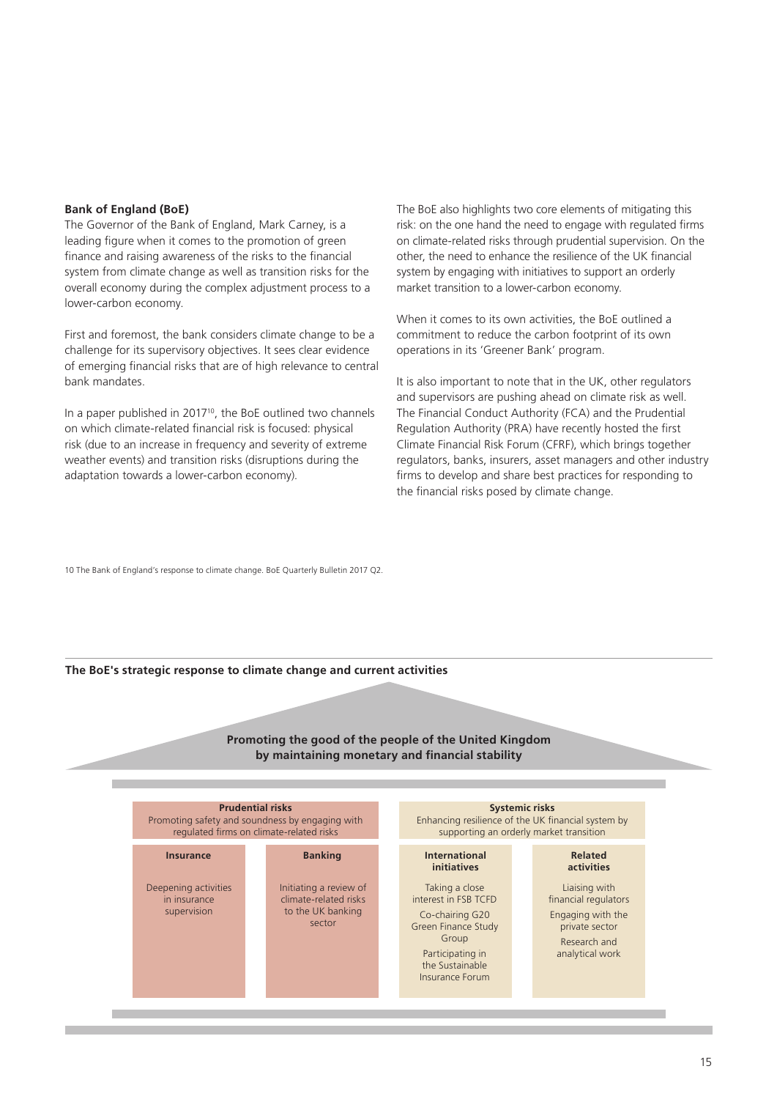#### **Bank of England (BoE)**

The Governor of the Bank of England, Mark Carney, is a leading figure when it comes to the promotion of green finance and raising awareness of the risks to the financial system from climate change as well as transition risks for the overall economy during the complex adjustment process to a lower-carbon economy.

First and foremost, the bank considers climate change to be a challenge for its supervisory objectives. It sees clear evidence of emerging financial risks that are of high relevance to central bank mandates.

In a paper published in 2017<sup>10</sup>, the BoE outlined two channels on which climate-related financial risk is focused: physical risk (due to an increase in frequency and severity of extreme weather events) and transition risks (disruptions during the adaptation towards a lower-carbon economy).

The BoE also highlights two core elements of mitigating this risk: on the one hand the need to engage with regulated firms on climate-related risks through prudential supervision. On the other, the need to enhance the resilience of the UK financial system by engaging with initiatives to support an orderly market transition to a lower-carbon economy.

When it comes to its own activities, the BoE outlined a commitment to reduce the carbon footprint of its own operations in its 'Greener Bank' program.

It is also important to note that in the UK, other regulators and supervisors are pushing ahead on climate risk as well. The Financial Conduct Authority (FCA) and the Prudential Regulation Authority (PRA) have recently hosted the first Climate Financial Risk Forum (CFRF), which brings together regulators, banks, insurers, asset managers and other industry firms to develop and share best practices for responding to the financial risks posed by climate change.

10 The Bank of England's response to climate change. BoE Quarterly Bulletin 2017 Q2.

#### **The BoE's strategic response to climate change and current activities**

#### **Promoting the good of the people of the United Kingdom by maintaining monetary and financial stability**

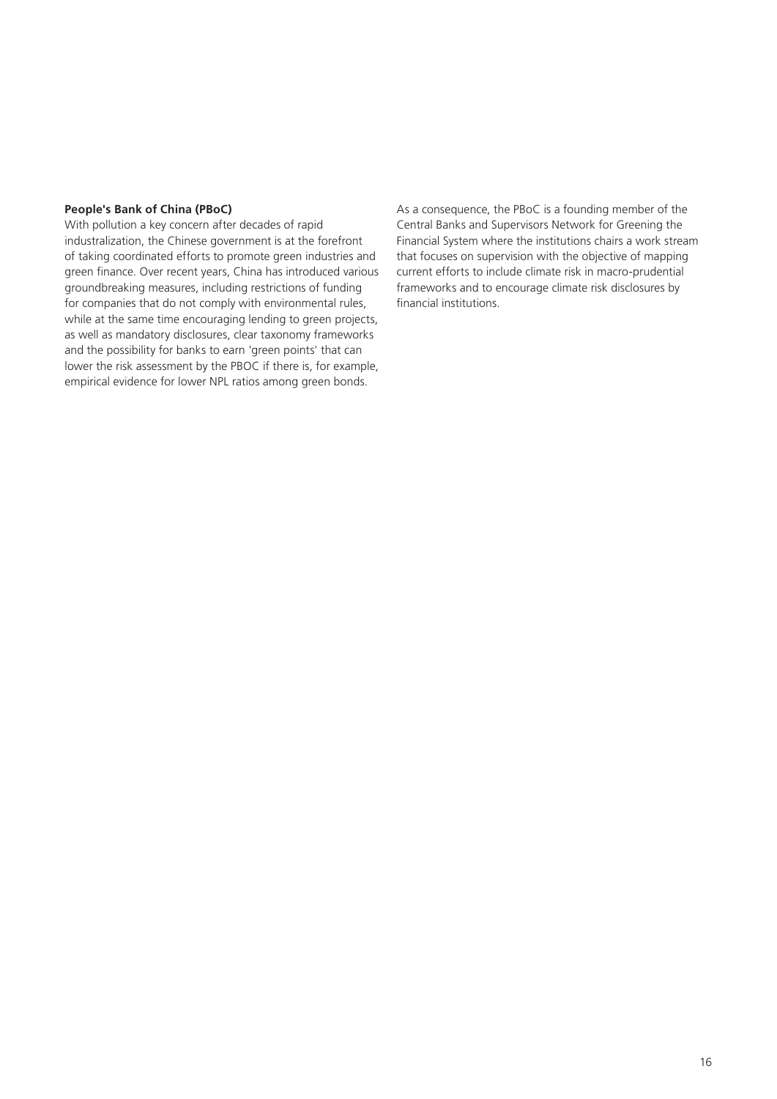#### **People's Bank of China (PBoC)**

With pollution a key concern after decades of rapid industralization, the Chinese government is at the forefront of taking coordinated efforts to promote green industries and green finance. Over recent years, China has introduced various groundbreaking measures, including restrictions of funding for companies that do not comply with environmental rules, while at the same time encouraging lending to green projects, as well as mandatory disclosures, clear taxonomy frameworks and the possibility for banks to earn 'green points' that can lower the risk assessment by the PBOC if there is, for example, empirical evidence for lower NPL ratios among green bonds.

As a consequence, the PBoC is a founding member of the Central Banks and Supervisors Network for Greening the Financial System where the institutions chairs a work stream that focuses on supervision with the objective of mapping current efforts to include climate risk in macro-prudential frameworks and to encourage climate risk disclosures by financial institutions.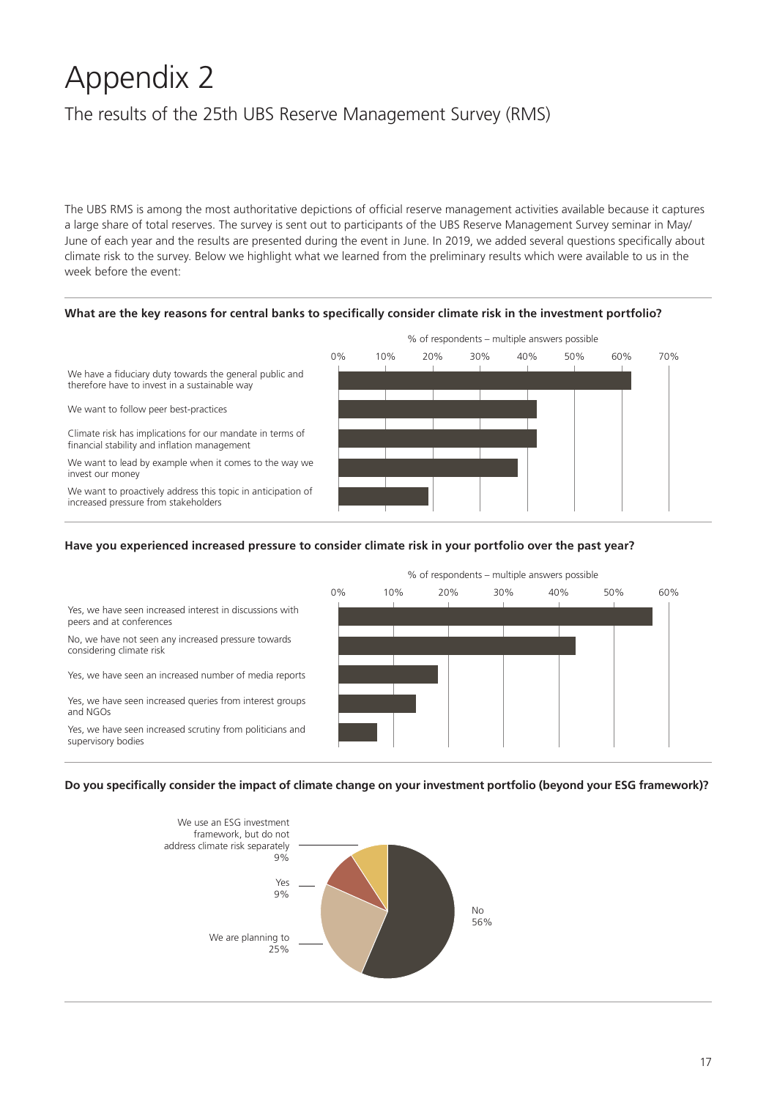# Appendix 2

# The results of the 25th UBS Reserve Management Survey (RMS)

The UBS RMS is among the most authoritative depictions of official reserve management activities available because it captures a large share of total reserves. The survey is sent out to participants of the UBS Reserve Management Survey seminar in May/ June of each year and the results are presented during the event in June. In 2019, we added several questions specifically about climate risk to the survey. Below we highlight what we learned from the preliminary results which were available to us in the week before the event:





#### **Have you experienced increased pressure to consider climate risk in your portfolio over the past year?**



#### **Do you specifically consider the impact of climate change on your investment portfolio (beyond your ESG framework)?**

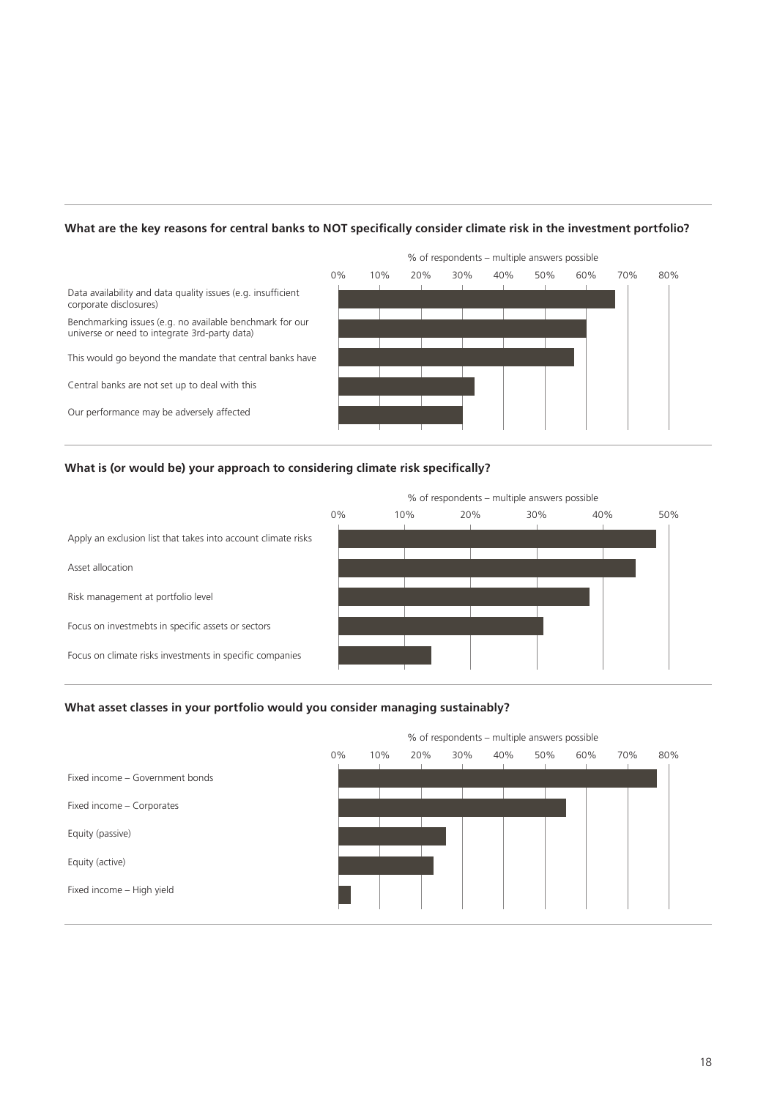#### **What are the key reasons for central banks to NOT specifically consider climate risk in the investment portfolio?**



#### **What is (or would be) your approach to considering climate risk specifically?**



#### **What asset classes in your portfolio would you consider managing sustainably?**

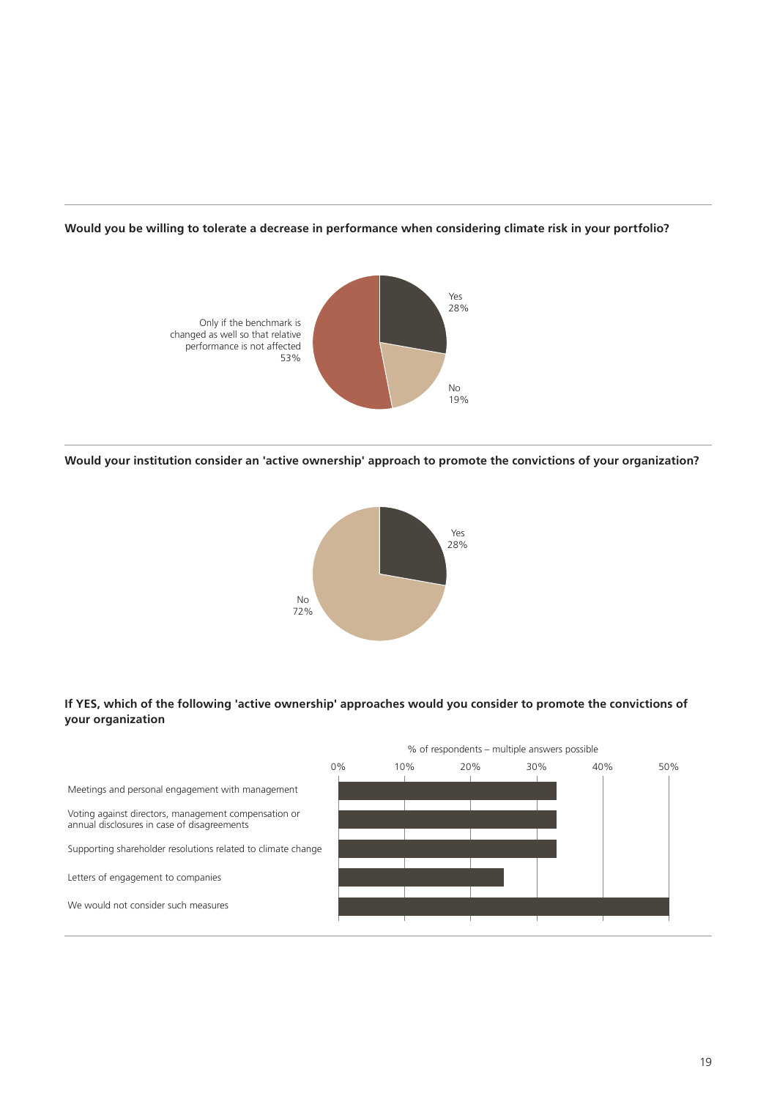



**Would your institution consider an 'active ownership' approach to promote the convictions of your organization?**



#### **If YES, which of the following 'active ownership' approaches would you consider to promote the convictions of your organization**